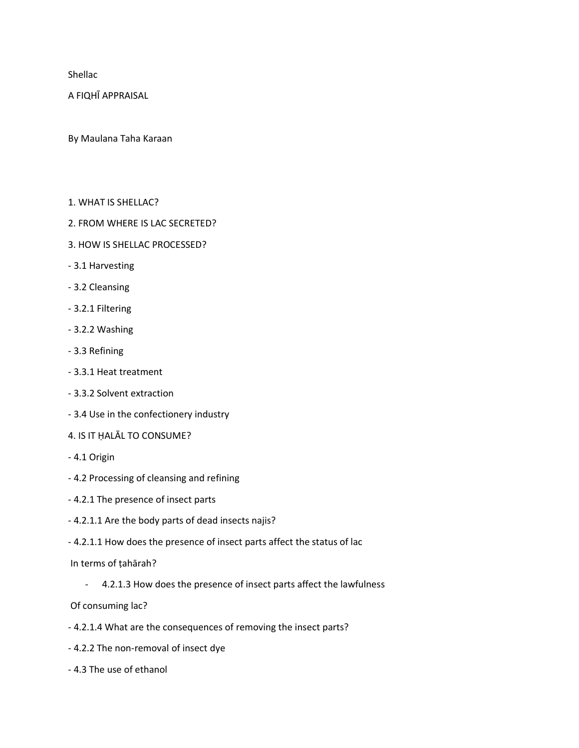Shellac

A FIQHĪ APPRAISAL

By Maulana Taha Karaan

- 1. WHAT IS SHELLAC?
- 2. FROM WHERE IS LAC SECRETED?
- 3. HOW IS SHELLAC PROCESSED?
- 3.1 Harvesting
- 3.2 Cleansing
- 3.2.1 Filtering
- 3.2.2 Washing
- 3.3 Refining
- 3.3.1 Heat treatment
- 3.3.2 Solvent extraction
- 3.4 Use in the confectionery industry
- 4. IS IT ḤALĀL TO CONSUME?
- 4.1 Origin
- 4.2 Processing of cleansing and refining
- 4.2.1 The presence of insect parts
- 4.2.1.1 Are the body parts of dead insects najis?
- 4.2.1.1 How does the presence of insect parts affect the status of lac

In terms of ṭahārah?

- 4.2.1.3 How does the presence of insect parts affect the lawfulness

Of consuming lac?

- 4.2.1.4 What are the consequences of removing the insect parts?
- 4.2.2 The non-removal of insect dye
- 4.3 The use of ethanol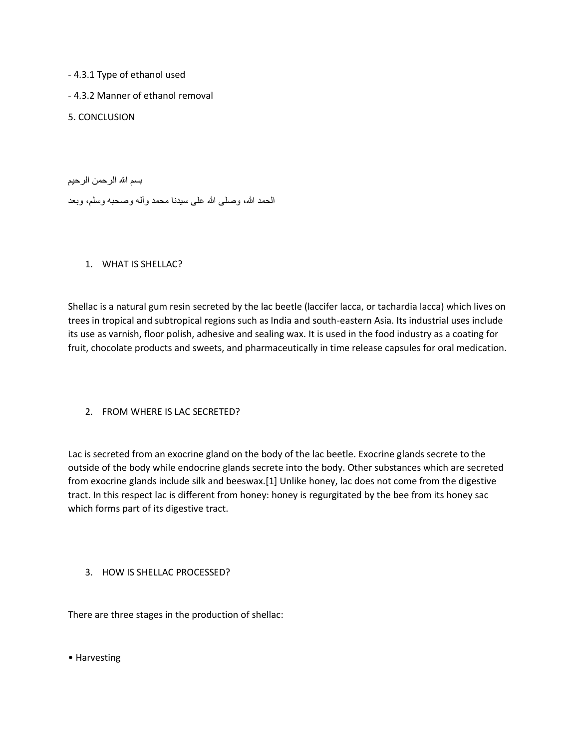- 4.3.1 Type of ethanol used

- 4.3.2 Manner of ethanol removal

5. CONCLUSION

بسم الله الرحمن الرحيم الحمد الله، وصلى الله على سيدنا محمد وآله وصحبه وسلم، وبعد

# 1. WHAT IS SHELLAC?

Shellac is a natural gum resin secreted by the lac beetle (laccifer lacca, or tachardia lacca) which lives on trees in tropical and subtropical regions such as India and south-eastern Asia. Its industrial uses include its use as varnish, floor polish, adhesive and sealing wax. It is used in the food industry as a coating for fruit, chocolate products and sweets, and pharmaceutically in time release capsules for oral medication.

2. FROM WHERE IS LAC SECRETED?

Lac is secreted from an exocrine gland on the body of the lac beetle. Exocrine glands secrete to the outside of the body while endocrine glands secrete into the body. Other substances which are secreted from exocrine glands include silk and beeswax.[1] Unlike honey, lac does not come from the digestive tract. In this respect lac is different from honey: honey is regurgitated by the bee from its honey sac which forms part of its digestive tract.

3. HOW IS SHELLAC PROCESSED?

There are three stages in the production of shellac:

• Harvesting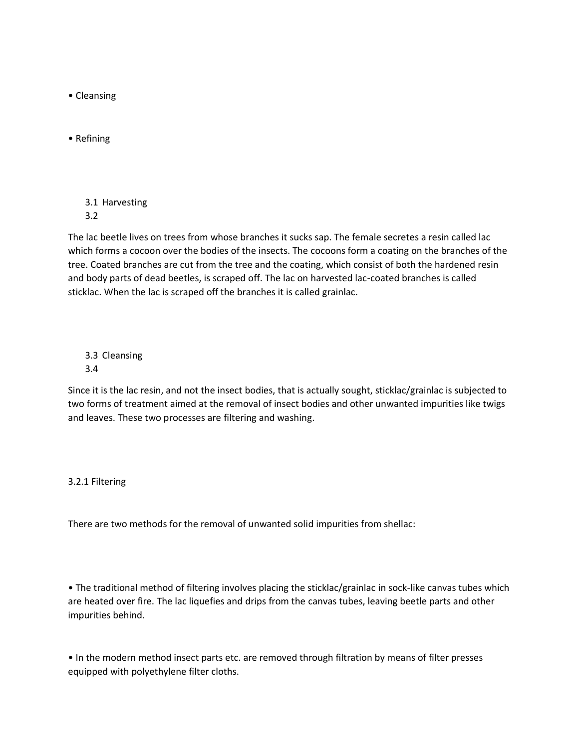• Cleansing

• Refining

3.1 Harvesting 3.2

The lac beetle lives on trees from whose branches it sucks sap. The female secretes a resin called lac which forms a cocoon over the bodies of the insects. The cocoons form a coating on the branches of the tree. Coated branches are cut from the tree and the coating, which consist of both the hardened resin and body parts of dead beetles, is scraped off. The lac on harvested lac-coated branches is called sticklac. When the lac is scraped off the branches it is called grainlac.

3.3 Cleansing 3.4

Since it is the lac resin, and not the insect bodies, that is actually sought, sticklac/grainlac is subjected to two forms of treatment aimed at the removal of insect bodies and other unwanted impurities like twigs and leaves. These two processes are filtering and washing.

## 3.2.1 Filtering

There are two methods for the removal of unwanted solid impurities from shellac:

• The traditional method of filtering involves placing the sticklac/grainlac in sock-like canvas tubes which are heated over fire. The lac liquefies and drips from the canvas tubes, leaving beetle parts and other impurities behind.

• In the modern method insect parts etc. are removed through filtration by means of filter presses equipped with polyethylene filter cloths.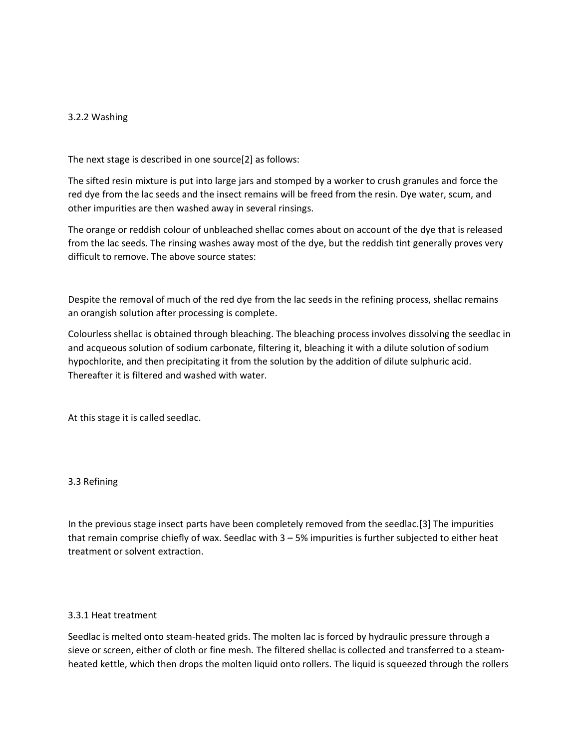### 3.2.2 Washing

The next stage is described in one source[2] as follows:

The sifted resin mixture is put into large jars and stomped by a worker to crush granules and force the red dye from the lac seeds and the insect remains will be freed from the resin. Dye water, scum, and other impurities are then washed away in several rinsings.

The orange or reddish colour of unbleached shellac comes about on account of the dye that is released from the lac seeds. The rinsing washes away most of the dye, but the reddish tint generally proves very difficult to remove. The above source states:

Despite the removal of much of the red dye from the lac seeds in the refining process, shellac remains an orangish solution after processing is complete.

Colourless shellac is obtained through bleaching. The bleaching process involves dissolving the seedlac in and acqueous solution of sodium carbonate, filtering it, bleaching it with a dilute solution of sodium hypochlorite, and then precipitating it from the solution by the addition of dilute sulphuric acid. Thereafter it is filtered and washed with water.

At this stage it is called seedlac.

#### 3.3 Refining

In the previous stage insect parts have been completely removed from the seedlac.[3] The impurities that remain comprise chiefly of wax. Seedlac with 3 – 5% impurities is further subjected to either heat treatment or solvent extraction.

#### 3.3.1 Heat treatment

Seedlac is melted onto steam-heated grids. The molten lac is forced by hydraulic pressure through a sieve or screen, either of cloth or fine mesh. The filtered shellac is collected and transferred to a steamheated kettle, which then drops the molten liquid onto rollers. The liquid is squeezed through the rollers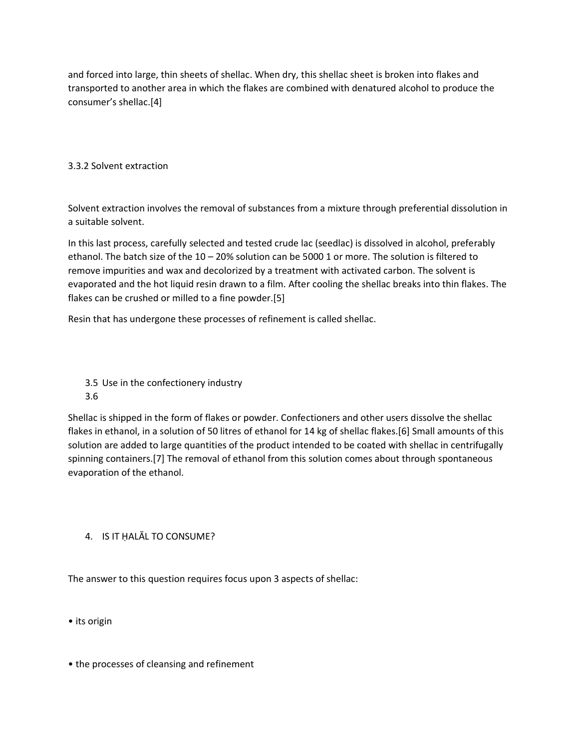and forced into large, thin sheets of shellac. When dry, this shellac sheet is broken into flakes and transported to another area in which the flakes are combined with denatured alcohol to produce the consumer's shellac.[4]

# 3.3.2 Solvent extraction

Solvent extraction involves the removal of substances from a mixture through preferential dissolution in a suitable solvent.

In this last process, carefully selected and tested crude lac (seedlac) is dissolved in alcohol, preferably ethanol. The batch size of the 10 – 20% solution can be 5000 1 or more. The solution is filtered to remove impurities and wax and decolorized by a treatment with activated carbon. The solvent is evaporated and the hot liquid resin drawn to a film. After cooling the shellac breaks into thin flakes. The flakes can be crushed or milled to a fine powder.[5]

Resin that has undergone these processes of refinement is called shellac.

3.5 Use in the confectionery industry 3.6

Shellac is shipped in the form of flakes or powder. Confectioners and other users dissolve the shellac flakes in ethanol, in a solution of 50 litres of ethanol for 14 kg of shellac flakes.[6] Small amounts of this solution are added to large quantities of the product intended to be coated with shellac in centrifugally spinning containers.[7] The removal of ethanol from this solution comes about through spontaneous evaporation of the ethanol.

## 4. IS IT ḤALĀL TO CONSUME?

The answer to this question requires focus upon 3 aspects of shellac:

• its origin

• the processes of cleansing and refinement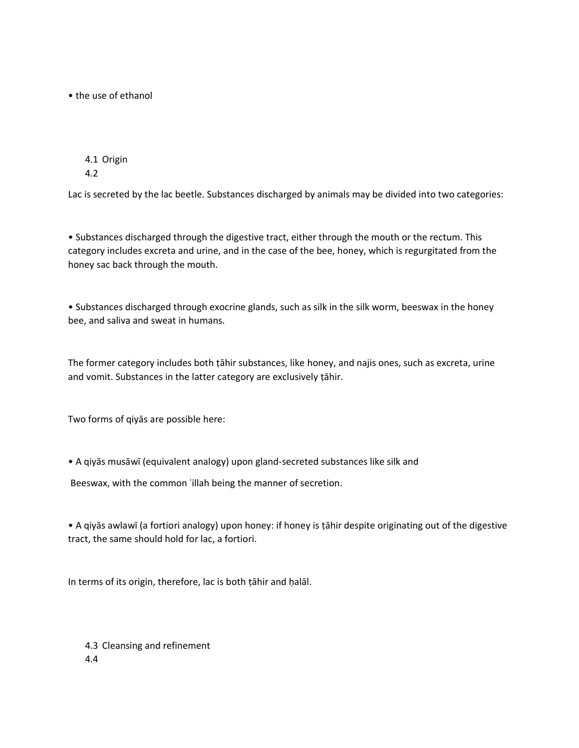• the use of ethanol

4.1 Origin 4.2

Lac is secreted by the lac beetle. Substances discharged by animals may be divided into two categories:

• Substances discharged through the digestive tract, either through the mouth or the rectum. This category includes excreta and urine, and in the case of the bee, honey, which is regurgitated from the honey sac back through the mouth.

• Substances discharged through exocrine glands, such as silk in the silk worm, beeswax in the honey bee, and saliva and sweat in humans.

The former category includes both ṭāhir substances, like honey, and najis ones, such as excreta, urine and vomit. Substances in the latter category are exclusively ṭāhir.

Two forms of qiyās are possible here:

• A qiyās musāwī (equivalent analogy) upon gland-secreted substances like silk and

Beeswax, with the common ʿillah being the manner of secretion.

• A qiyās awlawī (a fortiori analogy) upon honey: if honey is ṭāhir despite originating out of the digestive tract, the same should hold for lac, a fortiori.

In terms of its origin, therefore, lac is both ṭāhir and ḥalāl.

4.3 Cleansing and refinement 4.4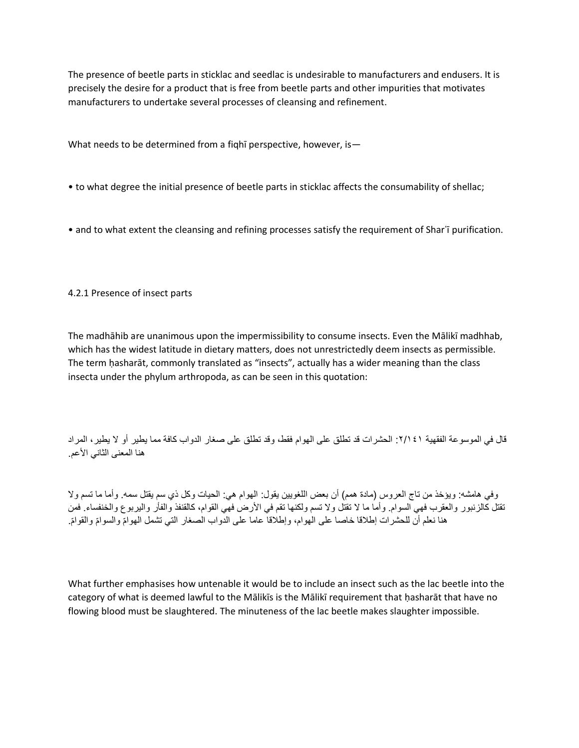The presence of beetle parts in sticklac and seedlac is undesirable to manufacturers and endusers. It is precisely the desire for a product that is free from beetle parts and other impurities that motivates manufacturers to undertake several processes of cleansing and refinement.

What needs to be determined from a fiqhī perspective, however, is—

- to what degree the initial presence of beetle parts in sticklac affects the consumability of shellac;
- and to what extent the cleansing and refining processes satisfy the requirement of Shar'i purification.

### 4.2.1 Presence of insect parts

The madhāhib are unanimous upon the impermissibility to consume insects. Even the Mālikī madhhab, which has the widest latitude in dietary matters, does not unrestrictedly deem insects as permissible. The term ḥasharāt, commonly translated as "insects", actually has a wider meaning than the class insecta under the phylum arthropoda, as can be seen in this quotation:

قال في الموسوعة الفقهية :٢/١٤١ الحشرات قد تطلق على الهوام فقط، وقد تطلق على صغار الدواب كافة مما يطير أو ال يطير، المراد هنا المعنى الثاني الأعم.

وفي هامشه: ويؤخذ من تاج العروس (مادة همم) أن بعض اللغويين يقول: الهوام هي: الحيات وكل ذي سم يقتل سمه. وأما ما تسم ولا تقتل كالزنبور والعقرب فهي السوام. وأما ما لا تقتل ولا تسم ولكنها تقم في الأرض فهي القوام، كالقنفذ والفأر واليربوع والخنفساء. فمن هنا نعلم أن للحشرات إطلاقا خاصـا على الـهوام، وإطلاقا عامـا علـى الدواب الصـغار التـي تشمل الـهوامّ والسوامّ والقوامّ.

What further emphasises how untenable it would be to include an insect such as the lac beetle into the category of what is deemed lawful to the Mālikīs is the Mālikī requirement that ḥasharāt that have no flowing blood must be slaughtered. The minuteness of the lac beetle makes slaughter impossible.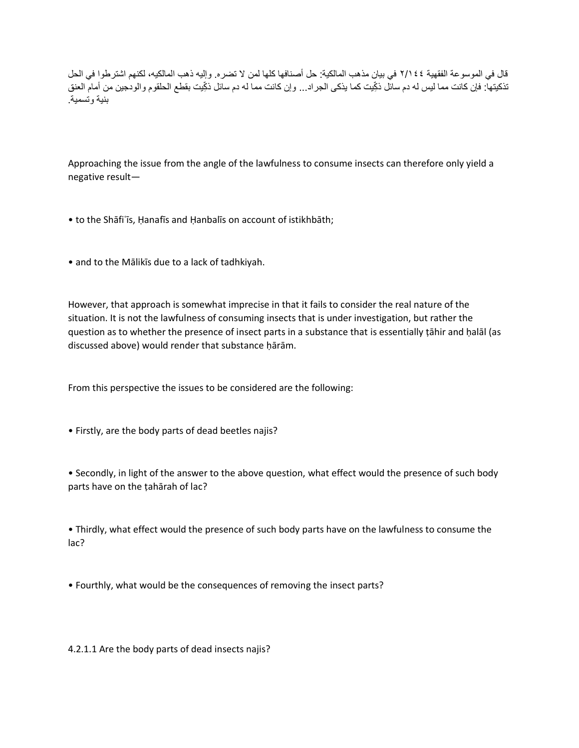قال في الموسوعة الفقهية ٢/١٤٤ في بيان مذهب المالكية: حل أصنافها كلها لمن ال تضره. وإليه ذهب المالكيه، لكنهم اشترطوا في الحل تذكيتها: فإن كانت مما ليس له دم سائل ذكِّيت كما يذكي الجراد... وإن كانت مما له دم سائل ذكِّيت بقطع الحلقوم والودجين من أمام العنق بنية وتسمية.

Approaching the issue from the angle of the lawfulness to consume insects can therefore only yield a negative result—

- to the Shāfiʿīs, Ḥanafīs and Ḥanbalīs on account of istikhbāth;
- and to the Mālikīs due to a lack of tadhkiyah.

However, that approach is somewhat imprecise in that it fails to consider the real nature of the situation. It is not the lawfulness of consuming insects that is under investigation, but rather the question as to whether the presence of insect parts in a substance that is essentially ṭāhir and ḥalāl (as discussed above) would render that substance ḥārām.

From this perspective the issues to be considered are the following:

• Firstly, are the body parts of dead beetles najis?

• Secondly, in light of the answer to the above question, what effect would the presence of such body parts have on the ṭahārah of lac?

• Thirdly, what effect would the presence of such body parts have on the lawfulness to consume the lac?

• Fourthly, what would be the consequences of removing the insect parts?

4.2.1.1 Are the body parts of dead insects najis?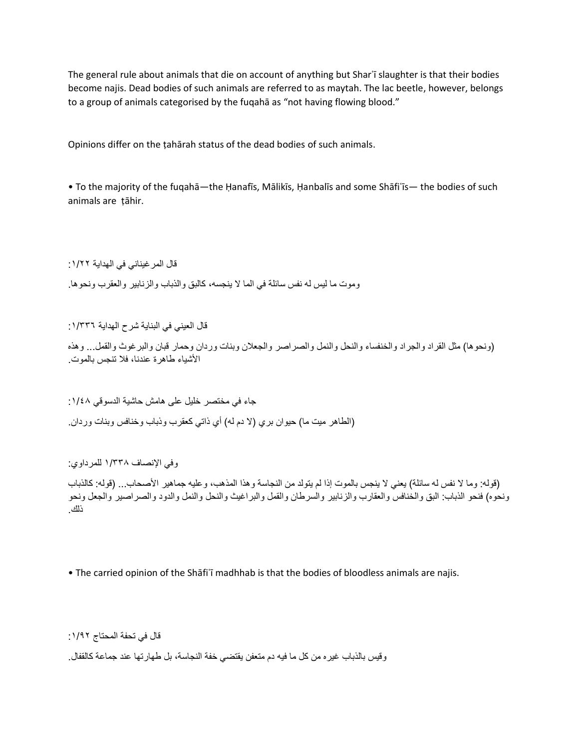The general rule about animals that die on account of anything but Sharʿī slaughter is that their bodies become najis. Dead bodies of such animals are referred to as maytah. The lac beetle, however, belongs to a group of animals categorised by the fuqahā as "not having flowing blood."

Opinions differ on the ṭahārah status of the dead bodies of such animals.

• To the majority of the fuqahā—the Ḥanafīs, Mālikīs, Ḥanbalīs and some Shāfiʿīs— the bodies of such animals are ṭāhir.

قال المرغيناني في الهداية :١/٢٢

وموت ما ليس له نفس سائلة في الما ال ينجسه، كالبق والذباب والزنابير والعقرب ونحوها.

قال العيني في البناية شرح الهداية :١/٣٣٦

)ونحوها( مثل القراد والجراد والخنفساء والنحل والنمل والصراصر والجعالن وبنات وردان وحمار قبان والبرغوث والقمل... وهذه األشياء طاهرة عندنا، فال تنجس بالموت.

جاء في مختصر خليل على هامش حاشية الدسوقي :١/٤٨ (الطاهر ميت ما) حيوان بري (لا دم له) أي ذاتي كعقرب وذباب وخنافس وبنات وردان.

وفي اإلنصاف ١/٣٣٨ للمرداوي:

(قوله: وما لا نفس له سائلة) يعني لا ينجس بالموت إذا لم يتولد من النجاسة وهذا المذهب، وعليه جماهير الأصحاب... (قوله: كالذباب ونحوه) فنحو الذباب: البق والخنافس والعقارب والزنابير والسرطان والقمل والبراغيث والنحل والنمل والدود والصراصير والجعل ونحو ذلك.

• The carried opinion of the Shāfiʿī madhhab is that the bodies of bloodless animals are najis.

قال في تحفة المحتاج :١/٩٢

وقيس بالذباب غيره من كل ما فيه دم متعفن يقتضي خفة النجاسة، بل طهارتها عند جماعة كالقفال.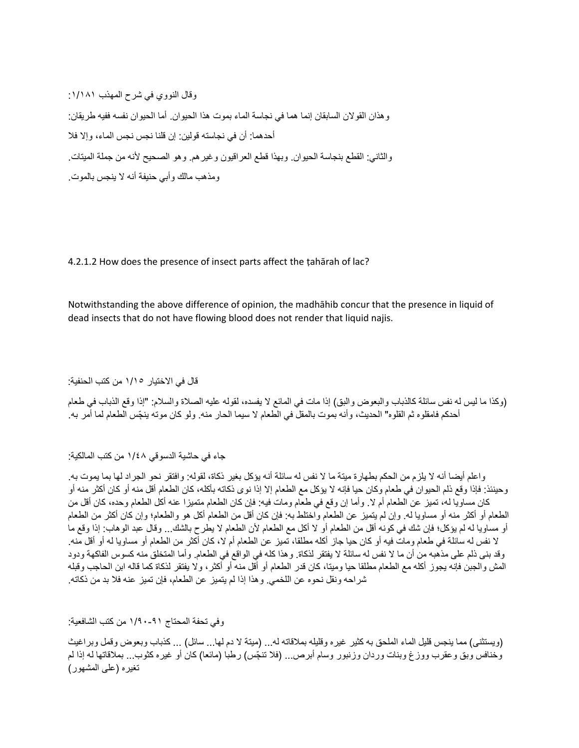وقال النووي في شرح المهذب :١/١٨١ وهذان القوالن السابقان إنما هما في نجاسة الماء بموت هذا الحيوان. أما الحيوان نفسه ففيه طريقان: أحدهما: أن في نجاسته قولين: إن قلنا نجس نجس الماء، وإال فال والثاني: القطع بنجاسة الحيوان. وبهذا قطع العراقيون وغيرهم. وهو الصحيح ألنه من جملة الميتات. ومذهب مالك وأبي حنيفة أنه ال ينجس بالموت.

4.2.1.2 How does the presence of insect parts affect the tahārah of lac?

Notwithstanding the above difference of opinion, the madhāhib concur that the presence in liquid of dead insects that do not have flowing blood does not render that liquid najis.

قال في االختيار ١/١٥ من كتب الحنفية:

(وكذا ما ليس له نفس سائلة كالذباب والبعوض والبق) إذا مات في المائع لا يفسده، لقوله عليه الصلاة والسلام: "إذا وقع الذباب في طعام أحدكم فامقلوه ثم القلوه" الحديث، وأنه بموت بالمقل في الطعام لا سيما الحار منه. ولو كان موته ينجّس الطعام لما أمر به.

جاء في حاشية الدسوقي ١/٤٨ من كتب المالكية:

واعلم أيضا أنه ال يلزم من الحكم بطهارة ميتة ما ال نفس له سائلة أنه يؤكل بغير ذكاة، لقوله: وافتقر نحو الجراد لها بما يموت به. وحينئذ: فإذا وقع ذلم الحيوان في طعام وكان حيا فإنه لا يؤكل مع الطعام إلا إذا نوى ذكاته بأكله، كان الطعام أقل منه أو كان أكثر منه أو كان مساويا له، تميز عن الطعام أم لا. وأما إن وقع في طعام ومات فيه: فإن كان الطعام متميزا عنه أكل الطعام وحده، كان أقل من الطعام أو أكثر منه أو مساويا له. وإن لم يتميز عن الطعام واختلط به: فإن كان أقل من الطعام أكل هو والطعام؛ وإن كان أكثر من الطعام أو مساويا له لم يؤكل؛ فإن شك في كونه أقل من الطعام أو لا أكل مع الطعام لأن الطعام لا يطرح بالشك... وقال عبد الوهاب: إذا وقع ما ال نفس له سائلة في طعام ومات فيه أو كان حيا جاز أكله مطلقا، تميز عن الطعام أم ال، كان أكثر من الطعام أو مساويا له أو أقل منه. وقد بنى ذلم على مذهبه من أن ما لا نفس له سائلة لا يفتقر لذكاة. وهذا كله في الواقع في الطعام. وأما المتخلق منه كسوس الفاكهة ودود المش والجبن فإنه يجوز أكله مع الطعام مطلقا حيا وميتا، كان قدر الطعام أو أقل منه أو أكثر، وال يفتقر لذكاة كما قاله ابن الحاجب وقبله شراحه ونقل نحوه عن اللخمي. وهذا إذا لم يتميز عن الطعام، فإن تميز عنه فال بد من ذكاته.

وفي تحفة المحتاج ١/٩٠-٩١ من كتب الشافعية:

(ويستثنى) مما ينجس قليل الماء الملحق به كثير غيره وقليله بملاقاته له... (ميتة لا دم لها... سائل) ... كذباب وبعوض وقمل وبراغيث وخنافس وبق وعقرب ووزغ وبنات وردان وزنبور وسام أبرص... (فلا تنجّس) رطبا (مائعا) كان أو غيره كثوب... بملاقاتها له إذا لم تغيره (على المشهور)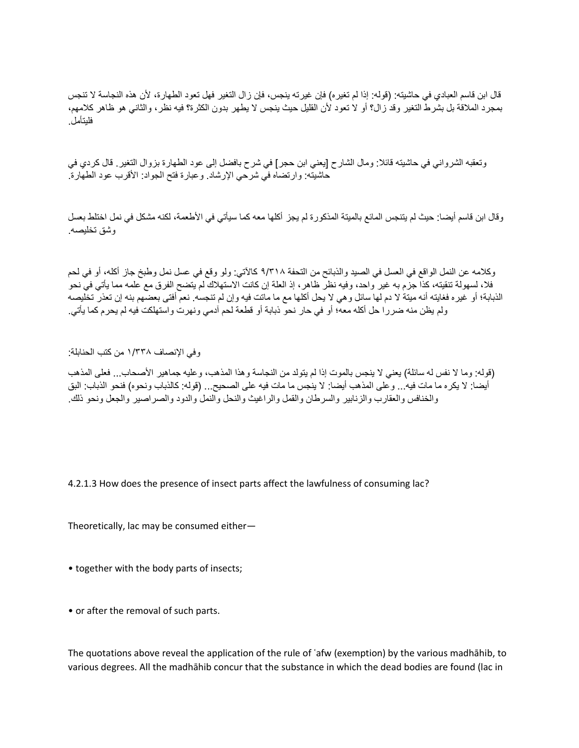قال ابن قاسم العبادي في حاشيته: (قوله: إذا لم تغيره) فإن غيرته ينجس، فإن زال التغير فهل تعود الطهارة، لأن هذه النجاسة لا تنجس بمجرد المالقة بل بشرط التغير وقد زال؟ أو ال تعود ألن القليل حيث ينجس ال يطهر بدون الكثرة؟ فيه نظر، والثاني هو ظاهر كالمهم، فليتأمل.

وتعقبه الشرواني في حاشيته قائال: ومال الشارح ]يعني ابن حجر[ في شرح بافضل إلى عود الطهارة بزوال التغير. قال كردي في حاشيته: وارتضاه في شرحي اإلرشاد. وعبارة فتح الجواد: األقرب عود الطهارة.

وقال ابن قاسم أيضا: حيث لم يتنجس المائع بالميتة المذكورة لم يجز أكلها معه كما سيأتي في الأطعمة، لكنه مشكل في نمل اختلط بعسل وشق تخليصه.

وكالمه عن النمل الواقع في العسل في الصيد والذبائح من التحفة ٩/٣١٨ كاآلتي: ولو وقع في عسل نمل وطبخ جاز أكله، أو في لحم فال، لسهولة تنقيته، كذا جزم به غير واحد، وفيه نظر ظاهر، إذ العلة إن كانت االستهالك لم يتضح الفرق مع علمه مما يأتي في نحو الذبابة؛ أو غيره فغايته أنه ميتة ال دم لها سائل وهي ال يحل أكلها مع ما ماتت فيه وإن لم تنجسه. نعم أفتى بعضهم بنه إن تعذر تخليصه ولم يظن منه ضررا حل أكله معه؛ أو في حار نحو ذبابة أو قطعة لحم آدمي ونهرت واستهلكت فيه لم يحرم كما يأتي.

وفي اإلنصاف ١/٣٣٨ من كتب الحنابلة:

(قوله: وما لا نفس له سائلة) يعني لا ينجس بالموت إذا لم يتولد من النجاسة وهذا المذهب، وعليه جماهير الأصحاب... فعلى المذهب أيضا: لا يكره ما مات فيه... وعلى المذهب أيضا: لا ينجس ما مات فيه على الصحيح... (قوله: كالذباب ونحوه) فنحو الذباب: البق والخنافس والعقارب والزنابير والسرطان والقمل والراغيث والنحل والنمل والدود والصراصير والجعل ونحو ذلك.

4.2.1.3 How does the presence of insect parts affect the lawfulness of consuming lac?

Theoretically, lac may be consumed either—

• together with the body parts of insects;

• or after the removal of such parts.

The quotations above reveal the application of the rule of ʿafw (exemption) by the various madhāhib, to various degrees. All the madhāhib concur that the substance in which the dead bodies are found (lac in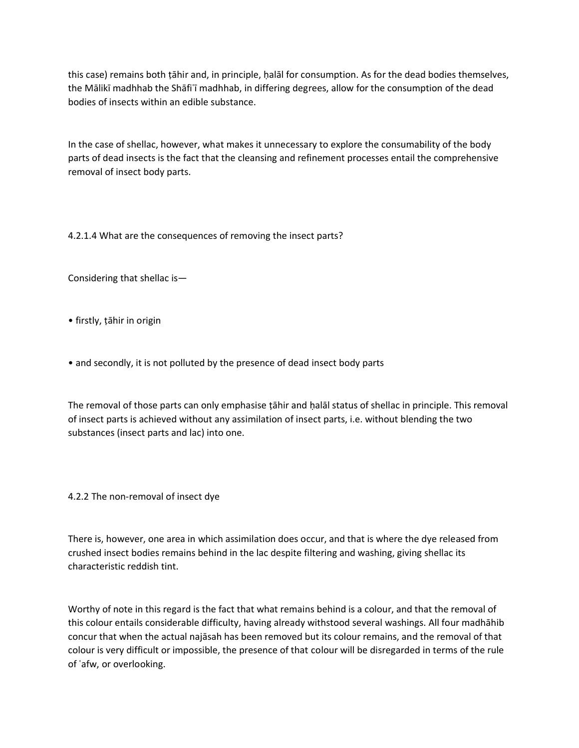this case) remains both tāhir and, in principle, halāl for consumption. As for the dead bodies themselves, the Mālikī madhhab the Shāfiʿī madhhab, in differing degrees, allow for the consumption of the dead bodies of insects within an edible substance.

In the case of shellac, however, what makes it unnecessary to explore the consumability of the body parts of dead insects is the fact that the cleansing and refinement processes entail the comprehensive removal of insect body parts.

4.2.1.4 What are the consequences of removing the insect parts?

Considering that shellac is—

- firstly, ṭāhir in origin
- and secondly, it is not polluted by the presence of dead insect body parts

The removal of those parts can only emphasise ṭāhir and ḥalāl status of shellac in principle. This removal of insect parts is achieved without any assimilation of insect parts, i.e. without blending the two substances (insect parts and lac) into one.

4.2.2 The non-removal of insect dye

There is, however, one area in which assimilation does occur, and that is where the dye released from crushed insect bodies remains behind in the lac despite filtering and washing, giving shellac its characteristic reddish tint.

Worthy of note in this regard is the fact that what remains behind is a colour, and that the removal of this colour entails considerable difficulty, having already withstood several washings. All four madhāhib concur that when the actual najāsah has been removed but its colour remains, and the removal of that colour is very difficult or impossible, the presence of that colour will be disregarded in terms of the rule of ʿafw, or overlooking.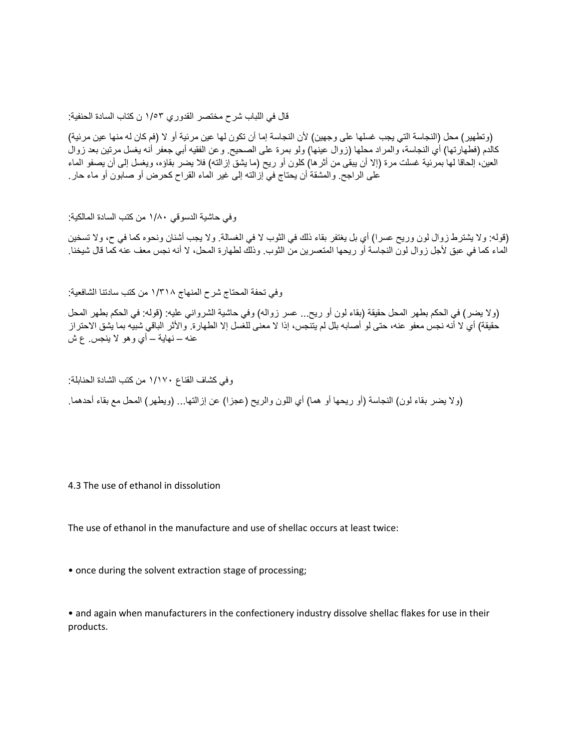قال في اللباب شرح مختصر القدوري ١/٥٣ ن كتاب السادة الحنفية:

(وتطهير) محل (النجاسة التي يجب غسلها على وجهين) لأن النجاسة إما أن تكون لها عين مرئية أو لا (فم كان له منها عين مرئية) كالدم (فطهارتها) أي النجاسة، والمراد محلها (زوال عينها) ولو بمرة على الصحيح. وعن الفقيه أبي جعفر أنه يغسل مرتين بعد زوال العين، إلحاقا لها بمرئية غسلت مرة (إلا أن يبقى من أثرها) كلون أو ريح (ما يشق إزالته) فلا يضر بقاؤه، ويغسل إلى أن يصفو الماء على الراجح. والمشقة أن يحتاج في إزالته إلى غير الماء القراح كحرض أو صابون أو ماء حار.

وفي حاشية الدسوقي ١/٨٠ من كتب السادة المالكية:

)قوله: وال يشترط زوال لون وريح عسرا( أي بل يغتفر بقاء ذلك في الثوب ال في الغسالة. وال يجب أشنان ونحوه كما في ح، وال تسخين الماء كما في عبق ألجل زوال لون النجاسة أو ريحها المتعسرين من الثوب. وذلك لطهارة المحل، ال أنه نجس معف عنه كما قال شيخنا.

وفي تحفة المحتاج شرح المنهاج ١/٣١٨ من كتب سادتنا الشافعية:

(ولا يضر) في الحكم بطهر المحل حقيقة (بقاء لون أو ريح... عسر زواله) وفي حاشية الشرواني عليه: (قوله: في الحكم بطهر المحل حقيقة) أي لا أنه نجس معفو عنه، حتى لو أصابه بلل لم يتنجس، إذا لا معنى للغسل إلا الطهارة. والأثر الباقي شبيه بما يشق الاحتراز عنه – نهاية – أي وهو ال ينجس. ع ش

وفي كشاف القناع ١/١٧٠ من كتب الشادة الحنابلة: (ولا يضر بقاء لون) النجاسة (أو ريحها أو هما) أي اللون والريح (عجزا) عن إزالتها... (ويطهر) المحل مع بقاء أحدهما.

4.3 The use of ethanol in dissolution

The use of ethanol in the manufacture and use of shellac occurs at least twice:

• once during the solvent extraction stage of processing;

• and again when manufacturers in the confectionery industry dissolve shellac flakes for use in their products.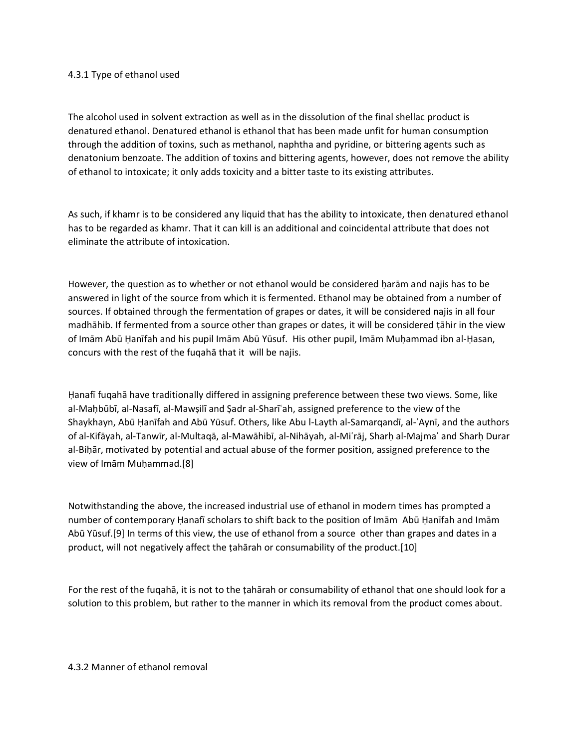### 4.3.1 Type of ethanol used

The alcohol used in solvent extraction as well as in the dissolution of the final shellac product is denatured ethanol. Denatured ethanol is ethanol that has been made unfit for human consumption through the addition of toxins, such as methanol, naphtha and pyridine, or bittering agents such as denatonium benzoate. The addition of toxins and bittering agents, however, does not remove the ability of ethanol to intoxicate; it only adds toxicity and a bitter taste to its existing attributes.

As such, if khamr is to be considered any liquid that has the ability to intoxicate, then denatured ethanol has to be regarded as khamr. That it can kill is an additional and coincidental attribute that does not eliminate the attribute of intoxication.

However, the question as to whether or not ethanol would be considered harām and najis has to be answered in light of the source from which it is fermented. Ethanol may be obtained from a number of sources. If obtained through the fermentation of grapes or dates, it will be considered najis in all four madhāhib. If fermented from a source other than grapes or dates, it will be considered ṭāhir in the view of Imām Abū Ḥanīfah and his pupil Imām Abū Yūsuf. His other pupil, Imām Muḥammad ibn al-Ḥasan, concurs with the rest of the fuqahā that it will be najis.

Ḥanafī fuqahā have traditionally differed in assigning preference between these two views. Some, like al-Maḥbūbī, al-Nasafī, al-Mawṣilī and Ṣadr al-Sharīʿah, assigned preference to the view of the Shaykhayn, Abū Ḥanīfah and Abū Yūsuf. Others, like Abu l-Layth al-Samarqandī, al-ʿAynī, and the authors of al-Kifāyah, al-Tanwīr, al-Multaqā, al-Mawāhibī, al-Nihāyah, al-Miʿrāj, Sharḥ al-Majmaʿ and Sharḥ Durar al-Biḥār, motivated by potential and actual abuse of the former position, assigned preference to the view of Imām Muḥammad.[8]

Notwithstanding the above, the increased industrial use of ethanol in modern times has prompted a number of contemporary Ḥanafī scholars to shift back to the position of Imām Abū Ḥanīfah and Imām Abū Yūsuf.[9] In terms of this view, the use of ethanol from a source other than grapes and dates in a product, will not negatively affect the ṭahārah or consumability of the product.[10]

For the rest of the fuqahā, it is not to the ṭahārah or consumability of ethanol that one should look for a solution to this problem, but rather to the manner in which its removal from the product comes about.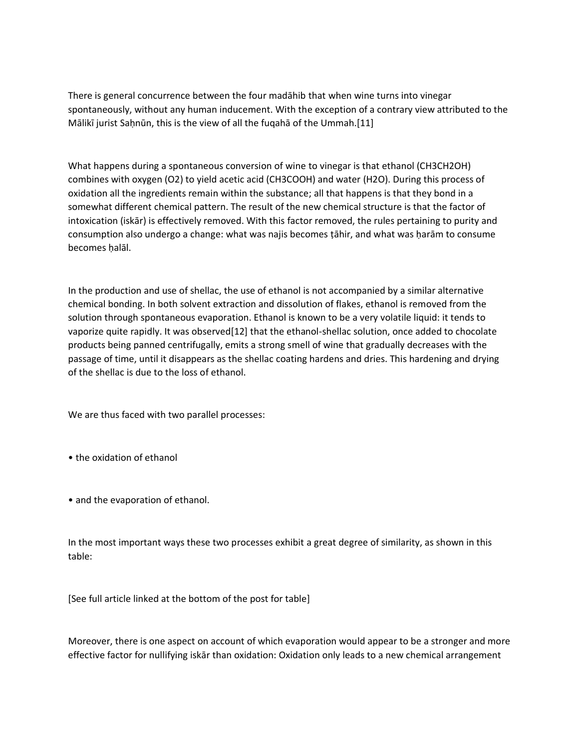There is general concurrence between the four madāhib that when wine turns into vinegar spontaneously, without any human inducement. With the exception of a contrary view attributed to the Mālikī jurist Saḥnūn, this is the view of all the fuqahā of the Ummah.[11]

What happens during a spontaneous conversion of wine to vinegar is that ethanol (CH3CH2OH) combines with oxygen (O2) to yield acetic acid (CH3COOH) and water (H2O). During this process of oxidation all the ingredients remain within the substance; all that happens is that they bond in a somewhat different chemical pattern. The result of the new chemical structure is that the factor of intoxication (iskār) is effectively removed. With this factor removed, the rules pertaining to purity and consumption also undergo a change: what was najis becomes ṭāhir, and what was ḥarām to consume becomes ḥalāl.

In the production and use of shellac, the use of ethanol is not accompanied by a similar alternative chemical bonding. In both solvent extraction and dissolution of flakes, ethanol is removed from the solution through spontaneous evaporation. Ethanol is known to be a very volatile liquid: it tends to vaporize quite rapidly. It was observed[12] that the ethanol-shellac solution, once added to chocolate products being panned centrifugally, emits a strong smell of wine that gradually decreases with the passage of time, until it disappears as the shellac coating hardens and dries. This hardening and drying of the shellac is due to the loss of ethanol.

We are thus faced with two parallel processes:

• the oxidation of ethanol

• and the evaporation of ethanol.

In the most important ways these two processes exhibit a great degree of similarity, as shown in this table:

[See full article linked at the bottom of the post for table]

Moreover, there is one aspect on account of which evaporation would appear to be a stronger and more effective factor for nullifying iskār than oxidation: Oxidation only leads to a new chemical arrangement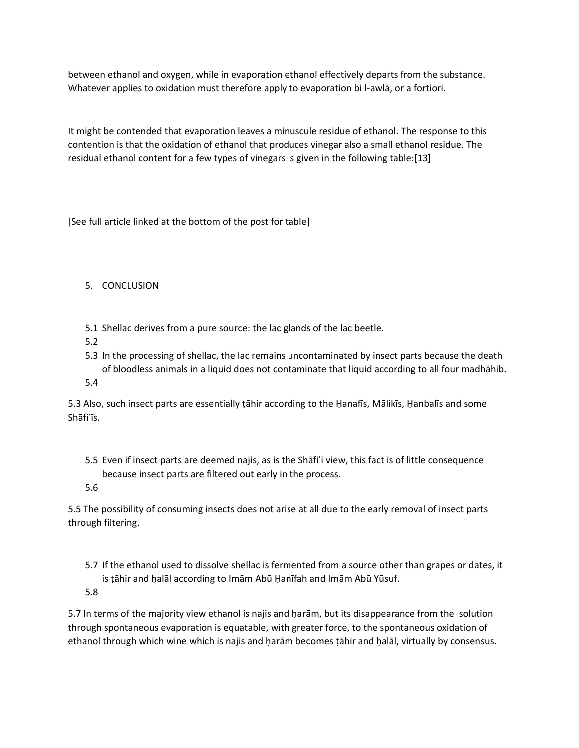between ethanol and oxygen, while in evaporation ethanol effectively departs from the substance. Whatever applies to oxidation must therefore apply to evaporation bi l-awlā, or a fortiori.

It might be contended that evaporation leaves a minuscule residue of ethanol. The response to this contention is that the oxidation of ethanol that produces vinegar also a small ethanol residue. The residual ethanol content for a few types of vinegars is given in the following table:[13]

[See full article linked at the bottom of the post for table]

# 5. CONCLUSION

- 5.1 Shellac derives from a pure source: the lac glands of the lac beetle.
- 5.2
- 5.3 In the processing of shellac, the lac remains uncontaminated by insect parts because the death of bloodless animals in a liquid does not contaminate that liquid according to all four madhāhib.
- 5.4

5.3 Also, such insect parts are essentially ṭāhir according to the Ḥanafīs, Mālikīs, Ḥanbalīs and some Shāfiʿīs.

- 5.5 Even if insect parts are deemed najis, as is the Shāfiʿī view, this fact is of little consequence because insect parts are filtered out early in the process.
- 5.6

5.5 The possibility of consuming insects does not arise at all due to the early removal of insect parts through filtering.

- 5.7 If the ethanol used to dissolve shellac is fermented from a source other than grapes or dates, it is ṭāhir and ḥalāl according to Imām Abū Ḥanīfah and Imām Abū Yūsuf.
- 5.8

5.7 In terms of the majority view ethanol is najis and ḥarām, but its disappearance from the solution through spontaneous evaporation is equatable, with greater force, to the spontaneous oxidation of ethanol through which wine which is najis and ḥarām becomes ṭāhir and ḥalāl, virtually by consensus.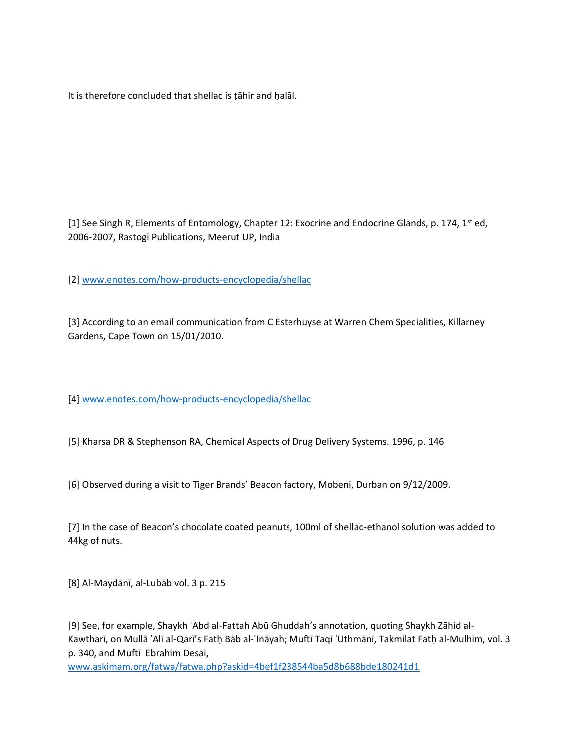It is therefore concluded that shellac is ṭāhir and ḥalāl.

[1] See Singh R, Elements of Entomology, Chapter 12: Exocrine and Endocrine Glands, p. 174,  $1^{st}$  ed, 2006-2007, Rastogi Publications, Meerut UP, India

[2] [www.enotes.com/how-products-encyclopedia/shellac](http://www.enotes.com/how-products-encyclopedia/shellac)

[3] According to an email communication from C Esterhuyse at Warren Chem Specialities, Killarney Gardens, Cape Town on 15/01/2010.

[4] [www.enotes.com/how-products-encyclopedia/shellac](http://www.enotes.com/how-products-encyclopedia/shellac)

[5] Kharsa DR & Stephenson RA, Chemical Aspects of Drug Delivery Systems. 1996, p. 146

[6] Observed during a visit to Tiger Brands' Beacon factory, Mobeni, Durban on 9/12/2009.

[7] In the case of Beacon's chocolate coated peanuts, 100ml of shellac-ethanol solution was added to 44kg of nuts.

[8] Al-Maydānī, al-Lubāb vol. 3 p. 215

[9] See, for example, Shaykh ʿAbd al-Fattah Abū Ghuddah's annotation, quoting Shaykh Zāhid al-Kawtharī, on Mullā ʿAlī al-Qarī's Fatḥ Bāb al-ʿInāyah; Muftī Taqī ʿUthmānī, Takmilat Fatḥ al-Mulhim, vol. 3 p. 340, and Muftī Ebrahim Desai,

[www.askimam.org/fatwa/fatwa.php?askid=4bef1f238544ba5d8b688bde180241d1](http://www.askimam.org/fatwa/fatwa.php?askid=4bef1f238544ba5d8b688bde180241d1)